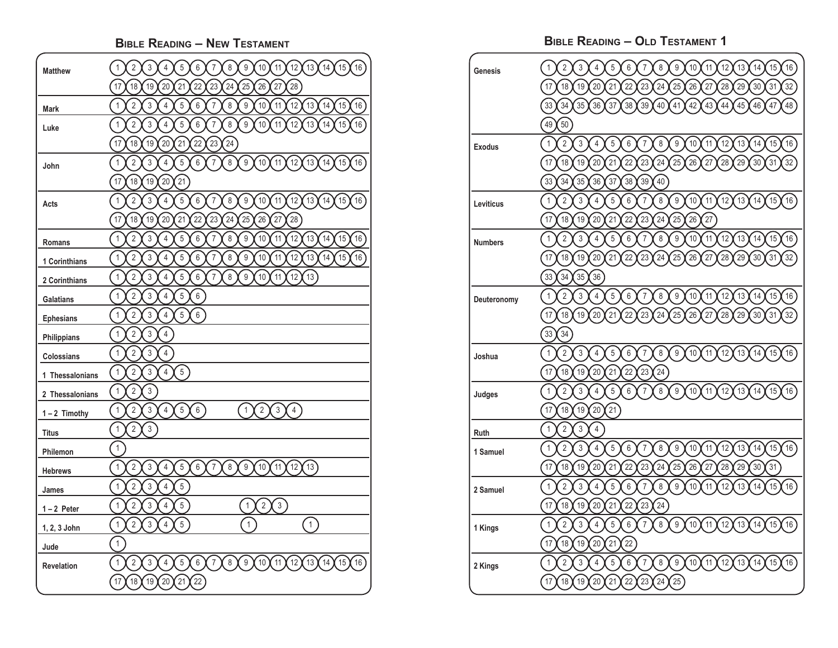| <b>BIBLE READING - NEW TESTAMENT</b> |                                                                                                                                                                                                                                                            |  |
|--------------------------------------|------------------------------------------------------------------------------------------------------------------------------------------------------------------------------------------------------------------------------------------------------------|--|
| <b>Matthew</b>                       | $\sqrt{2}$<br>$\sqrt{3}$<br>$\overline{4}$<br>$\overline{5}$<br>$\,6$<br>$\overline{7}$<br>$\,8\,$<br>$\boldsymbol{9}$<br>10<br>11<br>12<br>13<br>14<br>15<br>$\mathbf{1}$<br>16<br>17<br>18<br>19<br>20<br>$21$<br>22<br>23<br>24<br>25<br>26<br>27<br>28 |  |
| <b>Mark</b>                          | $\overline{7}$<br>12<br>$\mathbf{1}$<br>$\overline{2}$<br>$\sqrt{3}$<br>$\overline{4}$<br>5<br>$\,6\,$<br>$\bf 8$<br>9<br>10<br>11<br>13<br>14<br>15<br>16                                                                                                 |  |
| Luke                                 | $\overline{7}$<br>$\,8\,$<br>$\boldsymbol{9}$<br>10<br>$\mathbf{1}$<br>$\overline{2}$<br>$\sqrt{3}$<br>$\overline{4}$<br>5<br>$\,6$<br>11<br>12<br>15<br>16<br>13<br>14                                                                                    |  |
|                                      | 23<br>17<br>18<br>19<br>20<br>21<br>22<br>24                                                                                                                                                                                                               |  |
| John                                 | $\overline{2}$<br>$\mathfrak{z}$<br>$\overline{4}$<br>$\overline{5}$<br>$\,6\,$<br>$\overline{7}$<br>$\,8\,$<br>$\boldsymbol{9}$<br>[10]<br>$\mathbf{1}$<br>16<br>11<br>12<br>13<br>15<br>14                                                               |  |
|                                      | 17<br>18<br>19<br>20<br>$21$                                                                                                                                                                                                                               |  |
| Acts                                 | $\sqrt{2}$<br>$\mathfrak{z}$<br>$\overline{4}$<br>8<br>$\overline{9}$<br>[16]<br>$\mathbf{1}$<br>5<br>$\boldsymbol{6}$<br>$\overline{7}$<br>10<br>$\boxed{11}$<br>12<br>13<br>15<br>14                                                                     |  |
|                                      | 23<br>17<br>18<br>19<br>20<br>21<br>22<br>24<br>25<br>26<br>27<br>28                                                                                                                                                                                       |  |
| Romans                               | $\overline{7}$<br>14<br>15<br>16<br>$\mathbf{1}$<br>$\overline{2}$<br>$\sqrt{3}$<br>$\overline{4}$<br>$\sqrt{5}$<br>$\,6\,$<br>8<br>9<br>10<br>11<br>12<br>13                                                                                              |  |
| 1 Corinthians                        | 13<br>$\mathbf{1}$<br>$\overline{2}$<br>$\sqrt{3}$<br>$\overline{4}$<br>5<br>$\,6$<br>$\overline{7}$<br>$\,8\,$<br>$\boldsymbol{9}$<br>10<br>11<br>12<br>14<br>15<br>16                                                                                    |  |
| 2 Corinthians                        | $\overline{7}$<br>$\,8\,$<br>$\boldsymbol{9}$<br>10<br>$\mathbf{1}$<br>$\overline{2}$<br>$\sqrt{3}$<br>$\overline{4}$<br>5<br>$\,6\,$<br>11<br>12<br>13                                                                                                    |  |
| <b>Galatians</b>                     | $\mathbf{1}$<br>$\overline{2}$<br>$\sqrt{3}$<br>$\overline{4}$<br>5<br>$\,6\,$                                                                                                                                                                             |  |
| <b>Ephesians</b>                     | 6<br>$\mathbf{1}$<br>$\overline{2}$<br>$\sqrt{3}$<br>$\overline{4}$<br>$\sqrt{5}$                                                                                                                                                                          |  |
| Philippians                          | $\mathbf{1}$<br>$\overline{2}$<br>$\sqrt{3}$<br>$\overline{4}$                                                                                                                                                                                             |  |
| <b>Colossians</b>                    | $\mathbf{1}$<br>$\overline{2}$<br>$\sqrt{3}$<br>$\overline{4}$                                                                                                                                                                                             |  |
| 1 Thessalonians                      | $\mathfrak{z}$<br>$\overline{4}$<br>$\frac{1}{5}$<br>$\mathbf{1}$<br>$\overline{2}$                                                                                                                                                                        |  |
| 2 Thessalonians                      | $\mathbf{1}$<br>$\overline{2}$<br>$\mathsf 3$                                                                                                                                                                                                              |  |
| $1 - 2$ Timothy                      | $\overline{4}$<br>5 <sup>2</sup><br>$\mathsf 3$<br>6<br>$\overline{2}$<br>$\mathbf{1}$<br>$\overline{2}$<br>$\mathbf{1}$<br>$\sqrt{3}$<br>$\overline{4}$                                                                                                   |  |
| <b>Titus</b>                         | $\mathbf{1}$<br>$\overline{2}$<br>$\mathfrak{Z}$                                                                                                                                                                                                           |  |
| Philemon                             | $\mathbf{1}$                                                                                                                                                                                                                                               |  |
| <b>Hebrews</b>                       | $\mathbf{1}$<br>$\sqrt{2}$<br>$\mathfrak{z}$<br>6<br>(13)<br>$\overline{4}$<br>$\mathbf 5$<br>$\,$ 8 $\,$<br>$\boldsymbol{9}$<br>10<br>$\frac{11}{11}$<br>$^{'}$ 12<br>$\overline{7}$                                                                      |  |
| James                                | $\sqrt{2}$<br>$\mathsf 3$<br>$\overline{4}$<br>$\mathbf{1}$<br>5                                                                                                                                                                                           |  |
| $1 - 2$ Peter                        | $\sqrt{2}$<br>$\mathfrak{Z}$<br>$\overline{4}$<br>$\overline{3}$<br>$\mathbf{1}$<br>$5\,$<br>$\sqrt{2}$<br>1                                                                                                                                               |  |
| 1, 2, 3 John                         | $\overline{1}$<br>$\overline{2}$<br>$\overline{3}$<br>$\overline{1}$<br>$\mathbf{1}$<br>$\overline{4}$<br>$5\phantom{.0}$                                                                                                                                  |  |
| Jude                                 | $\mathbf{1}$                                                                                                                                                                                                                                               |  |
| <b>Revelation</b>                    | $\overline{7}$<br>$\overline{\mathbf{8}}$<br>$\boldsymbol{9}$<br>(16)<br>$\mathbf 1$<br>$\sqrt{3}$<br>$\sqrt{5}$<br>$\boldsymbol{6}$<br>10<br>$\frac{11}{11}$<br>$^{'}$ 12<br>[13]<br>(15)<br>$\sqrt{2}$<br>$\overline{\mathcal{L}}$<br>14                 |  |
|                                      | $\left[22\right]$<br>18<br>19<br>$\left(20\right)$<br>$\frac{21}{2}$<br>17                                                                                                                                                                                 |  |

**BIBLE READING – OLD TESTAMENT 1**

| Genesis        | $\overline{2}$<br>3<br>5<br>6<br>8<br>9<br>10<br>12<br>13<br>14<br>15<br>16<br>1<br>4<br>7<br>11                                                                                   |
|----------------|------------------------------------------------------------------------------------------------------------------------------------------------------------------------------------|
|                | 32<br>18<br>19<br>20<br>21<br>22<br>23<br>24<br>25<br>26<br>27<br>28<br>29<br>30<br>31<br>17                                                                                       |
|                | 33<br>34<br>35<br>36<br>37<br>38<br>39<br>40<br>41<br>42<br>43<br>44<br>45<br>46<br>48<br>47                                                                                       |
|                | 49<br>50                                                                                                                                                                           |
| <b>Exodus</b>  | $\overline{2}$<br>$\mathbf{1}$<br>3<br>$\boldsymbol{9}$<br>$\overline{4}$<br>5<br>$\,6$<br>$\overline{7}$<br>$\,8\,$<br>10<br>11<br>12<br>13<br>14<br>15<br>16                     |
|                | 25<br>17<br>18<br>19<br>20<br>21<br>22<br>23<br>24<br>26<br>27<br>28<br>29<br>30<br>31<br>32                                                                                       |
|                | 33<br>34<br>35<br>36<br>37<br>38<br>39<br>40                                                                                                                                       |
| Leviticus      | $\overline{2}$<br>3<br>$\boldsymbol{9}$<br>$\mathbf{1}$<br>5<br>6<br>$\overline{7}$<br>8<br>10<br>11<br>12<br>13<br>14<br>15<br>16<br>$\overline{4}$                               |
|                | 17<br>18<br>19<br>21<br>22<br>23<br>24<br>25<br>26<br>20<br>27                                                                                                                     |
| <b>Numbers</b> | $\overline{2}$<br>3<br>$\mathbf{1}$<br>$\overline{4}$<br>5<br>6<br>$\overline{7}$<br>8<br>9<br>10<br>11<br>12<br>15<br>13<br>14<br>16                                              |
|                | 22<br>26<br>28<br>17<br>18<br>19<br>20<br>21<br>23<br>24<br>25<br>27<br>29<br>30<br>32<br>31                                                                                       |
|                | 33<br>34<br>35<br>36 <sup>2</sup>                                                                                                                                                  |
| Deuteronomy    | $\overline{2}$<br>$\overline{3}$<br>$\mathbf{1}$<br>$\overline{4}$<br>$\sqrt{5}$<br>$\boldsymbol{9}$<br>10<br>6<br>$\overline{7}$<br>8<br>11<br>12<br>13<br>14<br>15<br>16         |
|                | 17<br>20<br>21<br>22<br>25<br>26<br>18<br>19<br>23<br>24<br>27<br>28<br>29<br>30<br>32<br>31                                                                                       |
|                | 33<br>34                                                                                                                                                                           |
| Joshua         | $\overline{2}$<br>$\mathbf{1}$<br>3<br>$\sqrt{5}$<br>$\,6$<br>8<br>9<br>10<br>$\overline{4}$<br>7<br>11<br>12<br>13<br>14<br>15<br>16                                              |
|                | 22<br>17<br>18<br>19<br>20<br>21<br>23<br>24                                                                                                                                       |
| Judges         | $\overline{2}$<br>$\mathfrak{Z}$<br>5<br>6<br>8<br>9<br>$\mathbf{1}$<br>$\overline{4}$<br>$\overline{7}$<br>10<br>11<br>12<br>13<br>14<br>15<br>16                                 |
|                | 17<br>18<br>19<br>20<br>21                                                                                                                                                         |
| Ruth           | $\overline{2}$<br>$\mathbf{1}$<br>3<br>$\overline{4}$                                                                                                                              |
| 1 Samuel       | $\overline{2}$<br>$\overline{5}$<br>$\overline{9}$<br>$\mathbf{1}$<br>3<br>$\overline{4}$<br>6<br>8<br>10<br>11<br>12<br>13<br>14<br>7<br>15<br>16                                 |
|                | 17<br>18<br>19<br>20<br>21<br>22<br>23<br>24<br>25<br>26<br>29<br>27<br>28<br>30<br>31                                                                                             |
| 2 Samuel       | $\overline{c}$<br>3<br>5<br>9<br>$\mathbf{1}$<br>6<br>8<br>10<br>11<br>12<br>13<br>14<br>15<br>16<br>$\overline{4}$<br>7                                                           |
|                | 17<br>18<br>19<br>21<br>22<br>23<br>24<br>20                                                                                                                                       |
| 1 Kings        | $\overline{2}$<br>3<br>5<br>$6\,$<br>$\overline{7}$<br>8<br>9<br>$\mathbf{1}$<br>$\overline{4}$<br>10<br>11<br>12<br>13<br>14<br>15<br>16                                          |
|                | 17<br>$21$<br>22<br>18<br>19<br>20                                                                                                                                                 |
| 2 Kings        | $\overline{2}$<br>$\mathfrak{z}$<br>$\overline{5}$<br>$6\,$<br>$\boldsymbol{9}$<br>10<br>$\mathbf{1}$<br>$\overline{4}$<br>$\overline{7}$<br>8<br>11<br>12<br>13<br>15<br>16<br>14 |
|                | 22)<br>17<br>18<br>19<br>$20^{\circ}$<br>21<br>23<br>24<br>25                                                                                                                      |
|                |                                                                                                                                                                                    |